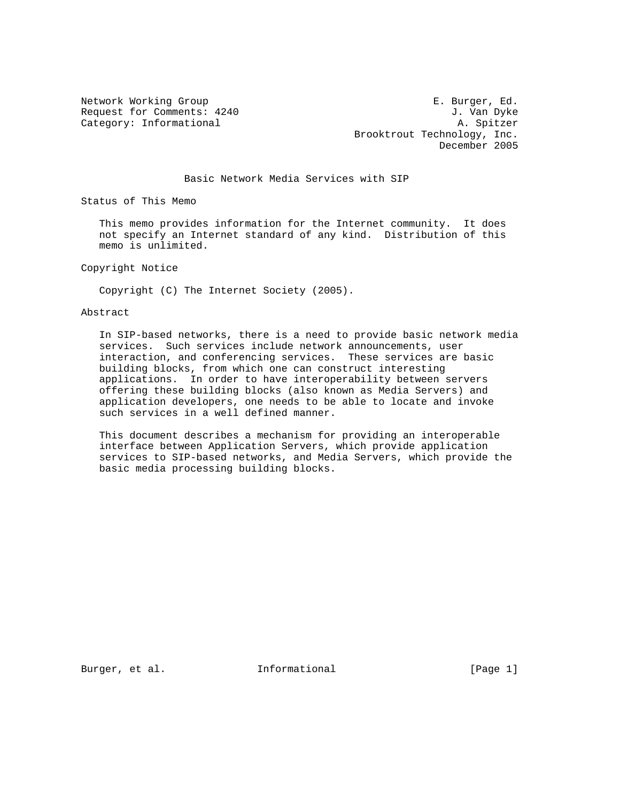Network Working Group **E. Burger, Ed.** Request for Comments: 4240 J. Van Dyke Category: Informational and A. Spitzer Brooktrout Technology, Inc. December 2005

## Basic Network Media Services with SIP

Status of This Memo

 This memo provides information for the Internet community. It does not specify an Internet standard of any kind. Distribution of this memo is unlimited.

Copyright Notice

Copyright (C) The Internet Society (2005).

### Abstract

 In SIP-based networks, there is a need to provide basic network media services. Such services include network announcements, user interaction, and conferencing services. These services are basic building blocks, from which one can construct interesting applications. In order to have interoperability between servers offering these building blocks (also known as Media Servers) and application developers, one needs to be able to locate and invoke such services in a well defined manner.

 This document describes a mechanism for providing an interoperable interface between Application Servers, which provide application services to SIP-based networks, and Media Servers, which provide the basic media processing building blocks.

Burger, et al. **Informational** [Page 1]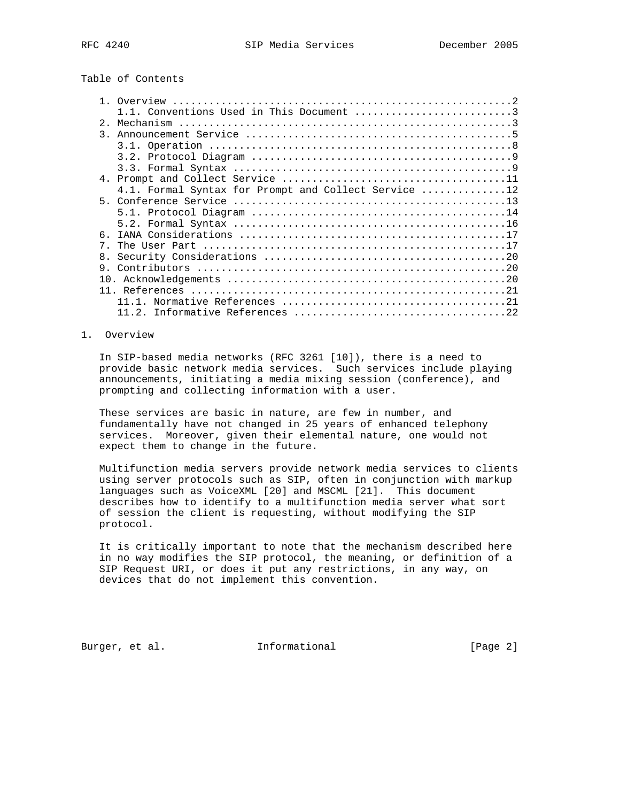Table of Contents

|               | 1.1. Conventions Used in This Document 3             |
|---------------|------------------------------------------------------|
| 2.            |                                                      |
| $\mathcal{R}$ |                                                      |
|               |                                                      |
|               |                                                      |
|               |                                                      |
|               |                                                      |
|               | 4.1. Formal Syntax for Prompt and Collect Service 12 |
|               |                                                      |
|               |                                                      |
|               |                                                      |
| 6.            |                                                      |
| $7^{\circ}$   |                                                      |
| 8.            |                                                      |
|               |                                                      |
|               |                                                      |
|               |                                                      |
|               |                                                      |
|               |                                                      |

### 1. Overview

 In SIP-based media networks (RFC 3261 [10]), there is a need to provide basic network media services. Such services include playing announcements, initiating a media mixing session (conference), and prompting and collecting information with a user.

 These services are basic in nature, are few in number, and fundamentally have not changed in 25 years of enhanced telephony services. Moreover, given their elemental nature, one would not expect them to change in the future.

 Multifunction media servers provide network media services to clients using server protocols such as SIP, often in conjunction with markup languages such as VoiceXML [20] and MSCML [21]. This document describes how to identify to a multifunction media server what sort of session the client is requesting, without modifying the SIP protocol.

 It is critically important to note that the mechanism described here in no way modifies the SIP protocol, the meaning, or definition of a SIP Request URI, or does it put any restrictions, in any way, on devices that do not implement this convention.

Burger, et al. **Informational** [Page 2]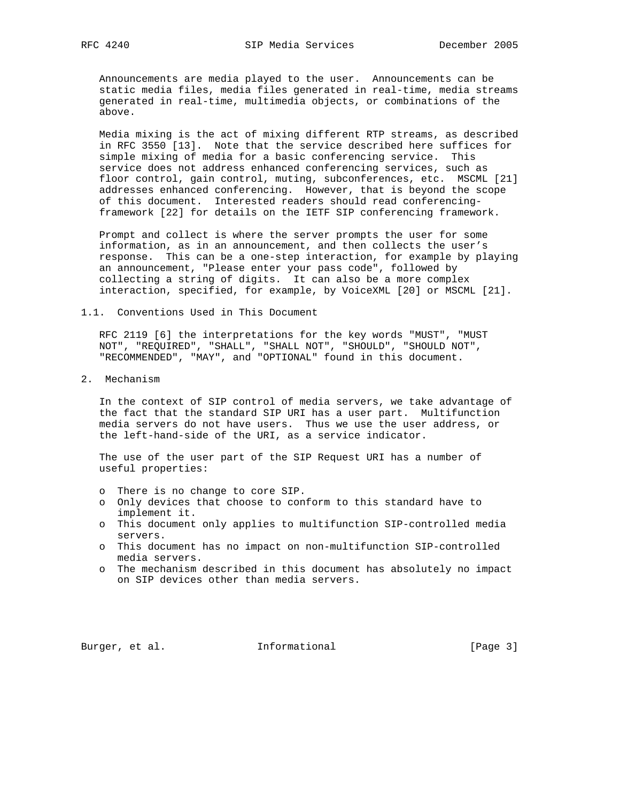Announcements are media played to the user. Announcements can be static media files, media files generated in real-time, media streams generated in real-time, multimedia objects, or combinations of the above.

 Media mixing is the act of mixing different RTP streams, as described in RFC 3550 [13]. Note that the service described here suffices for simple mixing of media for a basic conferencing service. This service does not address enhanced conferencing services, such as floor control, gain control, muting, subconferences, etc. MSCML [21] addresses enhanced conferencing. However, that is beyond the scope of this document. Interested readers should read conferencing framework [22] for details on the IETF SIP conferencing framework.

 Prompt and collect is where the server prompts the user for some information, as in an announcement, and then collects the user's response. This can be a one-step interaction, for example by playing an announcement, "Please enter your pass code", followed by collecting a string of digits. It can also be a more complex interaction, specified, for example, by VoiceXML [20] or MSCML [21].

1.1. Conventions Used in This Document

 RFC 2119 [6] the interpretations for the key words "MUST", "MUST NOT", "REQUIRED", "SHALL", "SHALL NOT", "SHOULD", "SHOULD NOT", "RECOMMENDED", "MAY", and "OPTIONAL" found in this document.

2. Mechanism

 In the context of SIP control of media servers, we take advantage of the fact that the standard SIP URI has a user part. Multifunction media servers do not have users. Thus we use the user address, or the left-hand-side of the URI, as a service indicator.

 The use of the user part of the SIP Request URI has a number of useful properties:

- o There is no change to core SIP.
- o Only devices that choose to conform to this standard have to implement it.
- o This document only applies to multifunction SIP-controlled media servers.
- o This document has no impact on non-multifunction SIP-controlled media servers.
- o The mechanism described in this document has absolutely no impact on SIP devices other than media servers.

Burger, et al. 1nformational 1999 [Page 3]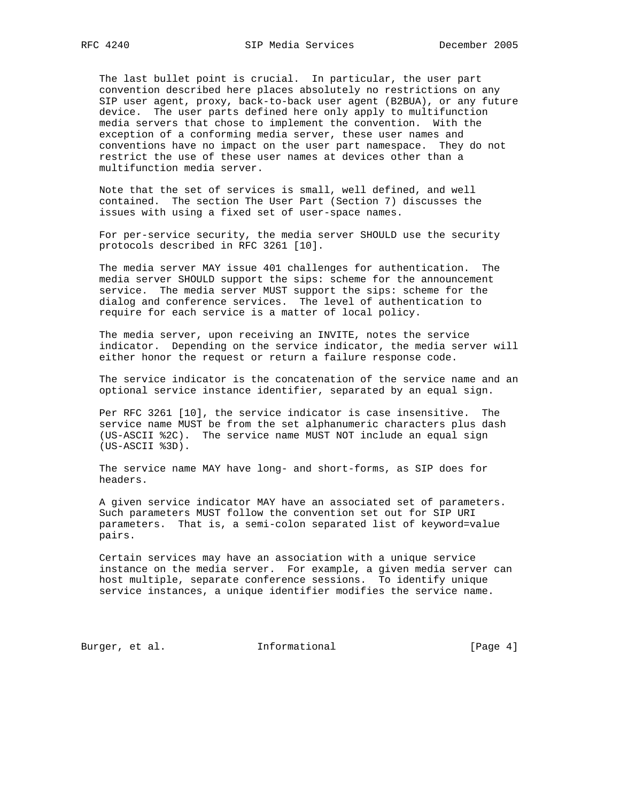The last bullet point is crucial. In particular, the user part convention described here places absolutely no restrictions on any SIP user agent, proxy, back-to-back user agent (B2BUA), or any future device. The user parts defined here only apply to multifunction media servers that chose to implement the convention. With the exception of a conforming media server, these user names and conventions have no impact on the user part namespace. They do not restrict the use of these user names at devices other than a multifunction media server.

 Note that the set of services is small, well defined, and well contained. The section The User Part (Section 7) discusses the issues with using a fixed set of user-space names.

 For per-service security, the media server SHOULD use the security protocols described in RFC 3261 [10].

 The media server MAY issue 401 challenges for authentication. The media server SHOULD support the sips: scheme for the announcement service. The media server MUST support the sips: scheme for the dialog and conference services. The level of authentication to require for each service is a matter of local policy.

 The media server, upon receiving an INVITE, notes the service indicator. Depending on the service indicator, the media server will either honor the request or return a failure response code.

 The service indicator is the concatenation of the service name and an optional service instance identifier, separated by an equal sign.

 Per RFC 3261 [10], the service indicator is case insensitive. The service name MUST be from the set alphanumeric characters plus dash (US-ASCII %2C). The service name MUST NOT include an equal sign (US-ASCII %3D).

 The service name MAY have long- and short-forms, as SIP does for headers.

 A given service indicator MAY have an associated set of parameters. Such parameters MUST follow the convention set out for SIP URI parameters. That is, a semi-colon separated list of keyword=value pairs.

 Certain services may have an association with a unique service instance on the media server. For example, a given media server can host multiple, separate conference sessions. To identify unique service instances, a unique identifier modifies the service name.

Burger, et al. 1nformational 1999 [Page 4]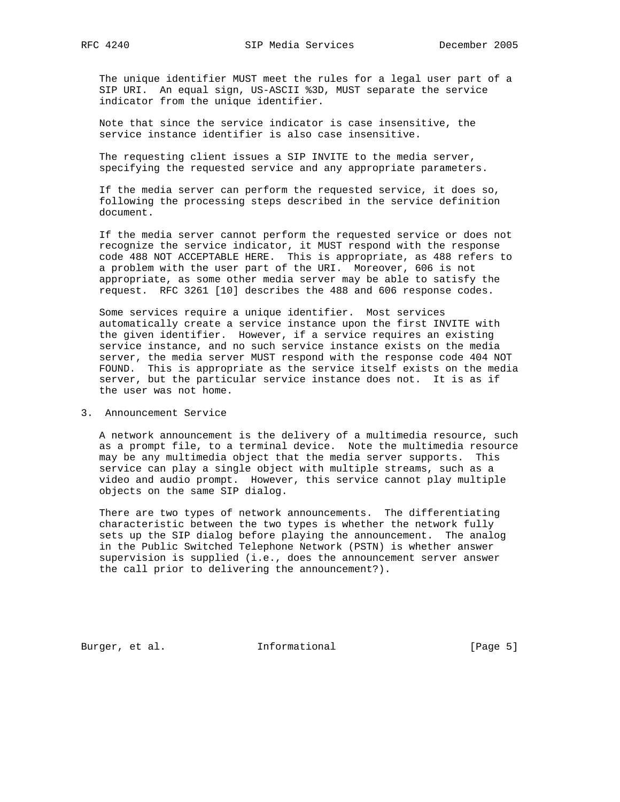The unique identifier MUST meet the rules for a legal user part of a SIP URI. An equal sign, US-ASCII %3D, MUST separate the service indicator from the unique identifier.

 Note that since the service indicator is case insensitive, the service instance identifier is also case insensitive.

 The requesting client issues a SIP INVITE to the media server, specifying the requested service and any appropriate parameters.

 If the media server can perform the requested service, it does so, following the processing steps described in the service definition document.

 If the media server cannot perform the requested service or does not recognize the service indicator, it MUST respond with the response code 488 NOT ACCEPTABLE HERE. This is appropriate, as 488 refers to a problem with the user part of the URI. Moreover, 606 is not appropriate, as some other media server may be able to satisfy the request. RFC 3261 [10] describes the 488 and 606 response codes.

 Some services require a unique identifier. Most services automatically create a service instance upon the first INVITE with the given identifier. However, if a service requires an existing service instance, and no such service instance exists on the media server, the media server MUST respond with the response code 404 NOT FOUND. This is appropriate as the service itself exists on the media server, but the particular service instance does not. It is as if the user was not home.

3. Announcement Service

 A network announcement is the delivery of a multimedia resource, such as a prompt file, to a terminal device. Note the multimedia resource may be any multimedia object that the media server supports. This service can play a single object with multiple streams, such as a video and audio prompt. However, this service cannot play multiple objects on the same SIP dialog.

 There are two types of network announcements. The differentiating characteristic between the two types is whether the network fully sets up the SIP dialog before playing the announcement. The analog in the Public Switched Telephone Network (PSTN) is whether answer supervision is supplied (i.e., does the announcement server answer the call prior to delivering the announcement?).

Burger, et al. **Informational** [Page 5]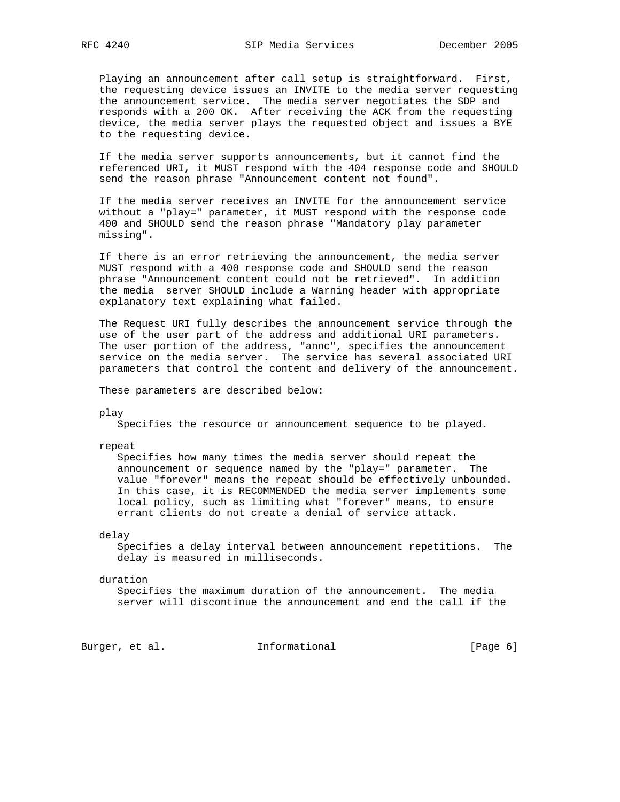Playing an announcement after call setup is straightforward. First, the requesting device issues an INVITE to the media server requesting the announcement service. The media server negotiates the SDP and responds with a 200 OK. After receiving the ACK from the requesting device, the media server plays the requested object and issues a BYE to the requesting device.

 If the media server supports announcements, but it cannot find the referenced URI, it MUST respond with the 404 response code and SHOULD send the reason phrase "Announcement content not found".

 If the media server receives an INVITE for the announcement service without a "play=" parameter, it MUST respond with the response code 400 and SHOULD send the reason phrase "Mandatory play parameter missing".

 If there is an error retrieving the announcement, the media server MUST respond with a 400 response code and SHOULD send the reason phrase "Announcement content could not be retrieved". In addition the media server SHOULD include a Warning header with appropriate explanatory text explaining what failed.

 The Request URI fully describes the announcement service through the use of the user part of the address and additional URI parameters. The user portion of the address, "annc", specifies the announcement service on the media server. The service has several associated URI parameters that control the content and delivery of the announcement.

These parameters are described below:

play

Specifies the resource or announcement sequence to be played.

repeat

 Specifies how many times the media server should repeat the announcement or sequence named by the "play=" parameter. The value "forever" means the repeat should be effectively unbounded. In this case, it is RECOMMENDED the media server implements some local policy, such as limiting what "forever" means, to ensure errant clients do not create a denial of service attack.

### delay

 Specifies a delay interval between announcement repetitions. The delay is measured in milliseconds.

### duration

 Specifies the maximum duration of the announcement. The media server will discontinue the announcement and end the call if the

Burger, et al. 1nformational 1999 [Page 6]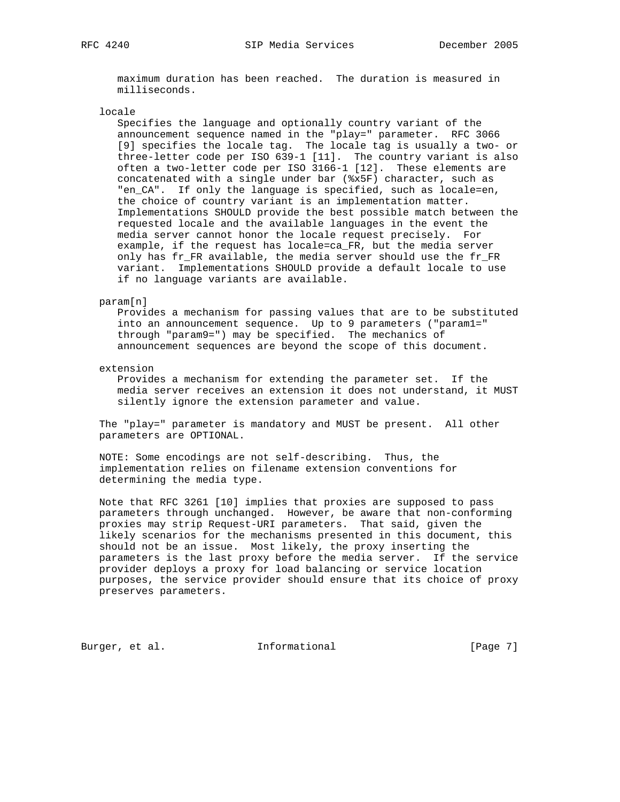maximum duration has been reached. The duration is measured in milliseconds.

locale

 Specifies the language and optionally country variant of the announcement sequence named in the "play=" parameter. RFC 3066 [9] specifies the locale tag. The locale tag is usually a two- or three-letter code per ISO 639-1 [11]. The country variant is also often a two-letter code per ISO 3166-1 [12]. These elements are concatenated with a single under bar (%x5F) character, such as "en\_CA". If only the language is specified, such as locale=en, the choice of country variant is an implementation matter. Implementations SHOULD provide the best possible match between the requested locale and the available languages in the event the media server cannot honor the locale request precisely. For example, if the request has locale=ca\_FR, but the media server only has fr\_FR available, the media server should use the fr\_FR variant. Implementations SHOULD provide a default locale to use if no language variants are available.

param[n]

 Provides a mechanism for passing values that are to be substituted into an announcement sequence. Up to 9 parameters ("param1=" through "param9=") may be specified. The mechanics of announcement sequences are beyond the scope of this document.

extension

 Provides a mechanism for extending the parameter set. If the media server receives an extension it does not understand, it MUST silently ignore the extension parameter and value.

 The "play=" parameter is mandatory and MUST be present. All other parameters are OPTIONAL.

 NOTE: Some encodings are not self-describing. Thus, the implementation relies on filename extension conventions for determining the media type.

 Note that RFC 3261 [10] implies that proxies are supposed to pass parameters through unchanged. However, be aware that non-conforming proxies may strip Request-URI parameters. That said, given the likely scenarios for the mechanisms presented in this document, this should not be an issue. Most likely, the proxy inserting the parameters is the last proxy before the media server. If the service provider deploys a proxy for load balancing or service location purposes, the service provider should ensure that its choice of proxy preserves parameters.

Burger, et al. 1nformational 1999 [Page 7]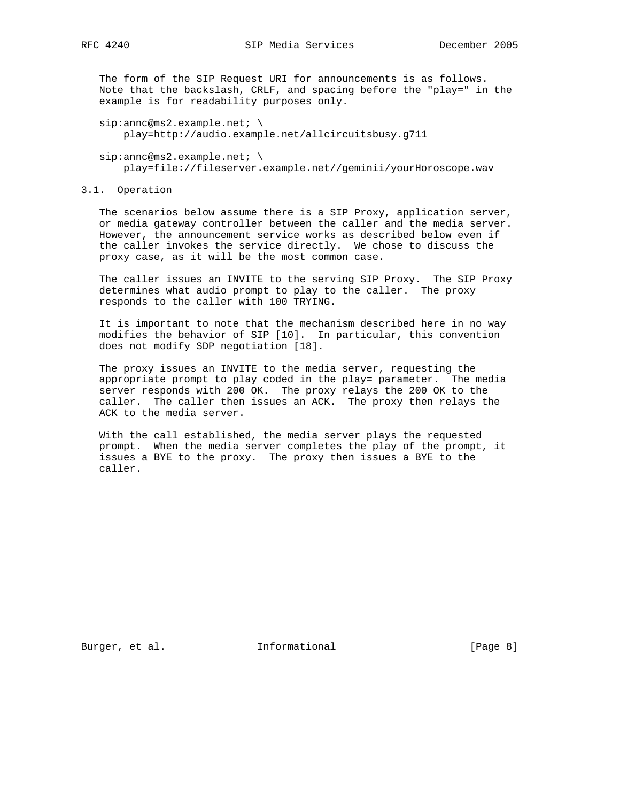The form of the SIP Request URI for announcements is as follows. Note that the backslash, CRLF, and spacing before the "play=" in the example is for readability purposes only.

sip:annc@ms2.example.net; \ play=http://audio.example.net/allcircuitsbusy.g711

 $sip:$ annc@ms2.example.net; \ play=file://fileserver.example.net//geminii/yourHoroscope.wav

### 3.1. Operation

 The scenarios below assume there is a SIP Proxy, application server, or media gateway controller between the caller and the media server. However, the announcement service works as described below even if the caller invokes the service directly. We chose to discuss the proxy case, as it will be the most common case.

 The caller issues an INVITE to the serving SIP Proxy. The SIP Proxy determines what audio prompt to play to the caller. The proxy responds to the caller with 100 TRYING.

 It is important to note that the mechanism described here in no way modifies the behavior of SIP [10]. In particular, this convention does not modify SDP negotiation [18].

 The proxy issues an INVITE to the media server, requesting the appropriate prompt to play coded in the play= parameter. The media server responds with 200 OK. The proxy relays the 200 OK to the caller. The caller then issues an ACK. The proxy then relays the ACK to the media server.

 With the call established, the media server plays the requested prompt. When the media server completes the play of the prompt, it issues a BYE to the proxy. The proxy then issues a BYE to the caller.

Burger, et al. 1nformational 1999 [Page 8]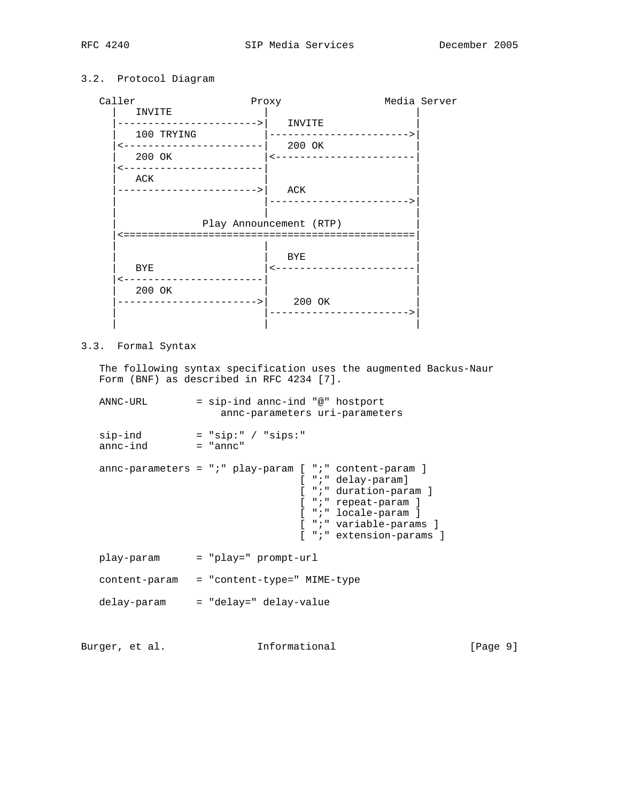# 3.2. Protocol Diagram

 Caller Proxy Media Server | INVITE | | |---------------------->| INVITE | | | 100 TRYING |----------------------->| |<-----------------------| 200 OK | 200 OK | <---------------------- |<-----------------------| | | ACK | | |----------------------->| ACK | | |----------------------->| | | | | Play Announcement (RTP) | |<================================================| | | | | | BYE | | BYE |<-----------------------| |<-----------------------| | 200 OK ----------------------->| 200 OK | |----------------------->| | | |

3.3. Formal Syntax

 The following syntax specification uses the augmented Backus-Naur Form (BNF) as described in RFC 4234 [7].

 ANNC-URL = sip-ind annc-ind "@" hostport annc-parameters uri-parameters sip-ind = "sip:" / "sips:" annc-ind = "annc" annc-parameters = ";" play-param [ ";" content-param ] [ ";" delay-param] [ ";" duration-param ] [ ";" repeat-param ] [ ";" locale-param ] [ ";" variable-params ] [ ";" extension-params ] play-param = "play=" prompt-url content-param = "content-type=" MIME-type delay-param = "delay=" delay-value

Burger, et al. 1nformational 1999 [Page 9]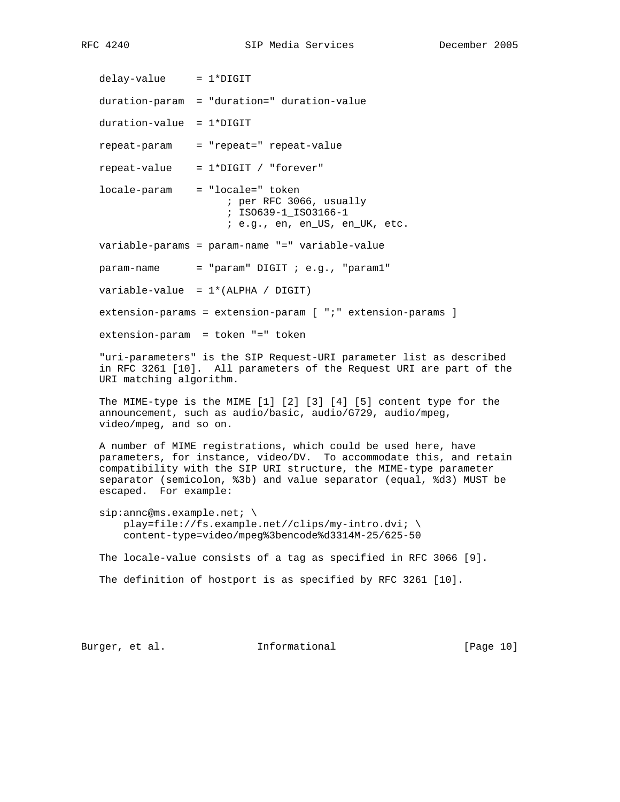$delay-value = 1*DIGIT$ 

duration-param = "duration=" duration-value

duration-value = 1\*DIGIT

repeat-param = "repeat=" repeat-value

 $repeated-value = 1*DIGHT / "forever"$ 

 locale-param = "locale=" token ; per RFC 3066, usually ; ISO639-1\_ISO3166-1 ; e.g., en, en\_US, en\_UK, etc.

variable-params = param-name "=" variable-value

 $param$ -name = "param" DIGIT ; e.g., "param1"

 $variable-value = 1*(ALPHA / DIGIT)$ 

extension-params = extension-param [ ";" extension-params ]

extension-param = token "=" token

 "uri-parameters" is the SIP Request-URI parameter list as described in RFC 3261 [10]. All parameters of the Request URI are part of the URI matching algorithm.

 The MIME-type is the MIME [1] [2] [3] [4] [5] content type for the announcement, such as audio/basic, audio/G729, audio/mpeg, video/mpeg, and so on.

 A number of MIME registrations, which could be used here, have parameters, for instance, video/DV. To accommodate this, and retain compatibility with the SIP URI structure, the MIME-type parameter separator (semicolon, %3b) and value separator (equal, %d3) MUST be escaped. For example:

sip: annc@ms.example.net; \ play=file://fs.example.net//clips/my-intro.dvi; \ content-type=video/mpeg%3bencode%d3314M-25/625-50

The locale-value consists of a tag as specified in RFC 3066 [9].

The definition of hostport is as specified by RFC 3261 [10].

Burger, et al. 1nformational 1999 [Page 10]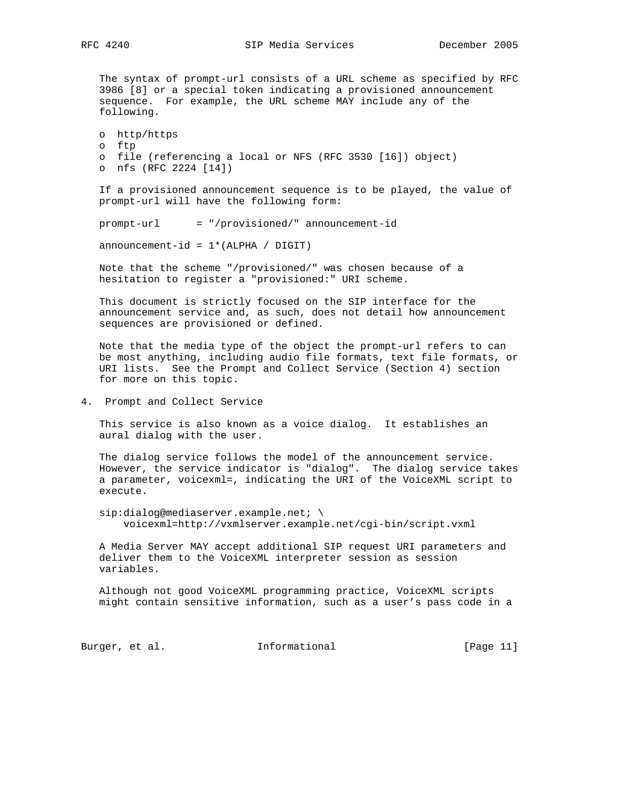The syntax of prompt-url consists of a URL scheme as specified by RFC 3986 [8] or a special token indicating a provisioned announcement sequence. For example, the URL scheme MAY include any of the following.

 o http/https o ftp o file (referencing a local or NFS (RFC 3530 [16]) object) o nfs (RFC 2224 [14])

 If a provisioned announcement sequence is to be played, the value of prompt-url will have the following form:

prompt-url = "/provisioned/" announcement-id

 $announcement-id = 1*(ALPHA / DIGIT)$ 

 Note that the scheme "/provisioned/" was chosen because of a hesitation to register a "provisioned:" URI scheme.

 This document is strictly focused on the SIP interface for the announcement service and, as such, does not detail how announcement sequences are provisioned or defined.

 Note that the media type of the object the prompt-url refers to can be most anything, including audio file formats, text file formats, or URI lists. See the Prompt and Collect Service (Section 4) section for more on this topic.

4. Prompt and Collect Service

 This service is also known as a voice dialog. It establishes an aural dialog with the user.

 The dialog service follows the model of the announcement service. However, the service indicator is "dialog". The dialog service takes a parameter, voicexml=, indicating the URI of the VoiceXML script to execute.

sip:dialog@mediaserver.example.net; \ voicexml=http://vxmlserver.example.net/cgi-bin/script.vxml

 A Media Server MAY accept additional SIP request URI parameters and deliver them to the VoiceXML interpreter session as session variables.

 Although not good VoiceXML programming practice, VoiceXML scripts might contain sensitive information, such as a user's pass code in a

Burger, et al. 1nformational 1999 [Page 11]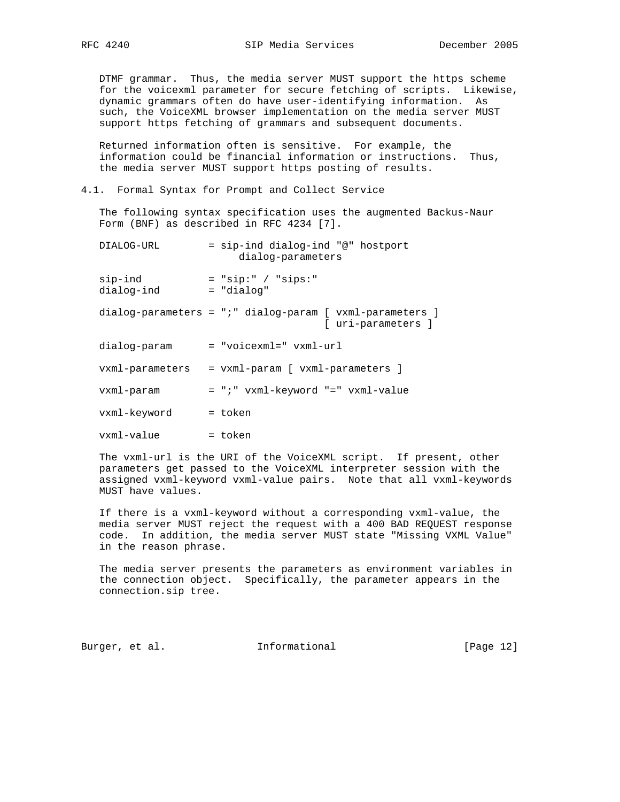DTMF grammar. Thus, the media server MUST support the https scheme for the voicexml parameter for secure fetching of scripts. Likewise, dynamic grammars often do have user-identifying information. As such, the VoiceXML browser implementation on the media server MUST support https fetching of grammars and subsequent documents.

 Returned information often is sensitive. For example, the information could be financial information or instructions. Thus, the media server MUST support https posting of results.

### 4.1. Formal Syntax for Prompt and Collect Service

 The following syntax specification uses the augmented Backus-Naur Form (BNF) as described in RFC 4234 [7].

| DIALOG-URL            | = sip-ind dialog-ind "@" hostport<br>dialog-parameters                                  |
|-----------------------|-----------------------------------------------------------------------------------------|
| sip-ind<br>dialog-ind | $=$ "sip:" / "sips:"<br>= "dialog"                                                      |
|                       | $dialog$ -parameters = ";" $dialog$ -param [ $vxml$ -parameters ]<br>[ uri-parameters ] |
| dialog-param          | = "voicexml=" vxml-url                                                                  |
| vxml-parameters       | = vxml-param [ vxml-parameters ]                                                        |
| vxml-param            | $= "i"$ vxml-keyword "=" vxml-value                                                     |
| vxml-keyword          | = token                                                                                 |
| vxml-value            | = token                                                                                 |

 The vxml-url is the URI of the VoiceXML script. If present, other parameters get passed to the VoiceXML interpreter session with the assigned vxml-keyword vxml-value pairs. Note that all vxml-keywords MUST have values.

 If there is a vxml-keyword without a corresponding vxml-value, the media server MUST reject the request with a 400 BAD REQUEST response code. In addition, the media server MUST state "Missing VXML Value" in the reason phrase.

 The media server presents the parameters as environment variables in the connection object. Specifically, the parameter appears in the connection.sip tree.

Burger, et al. 1nformational 1999 [Page 12]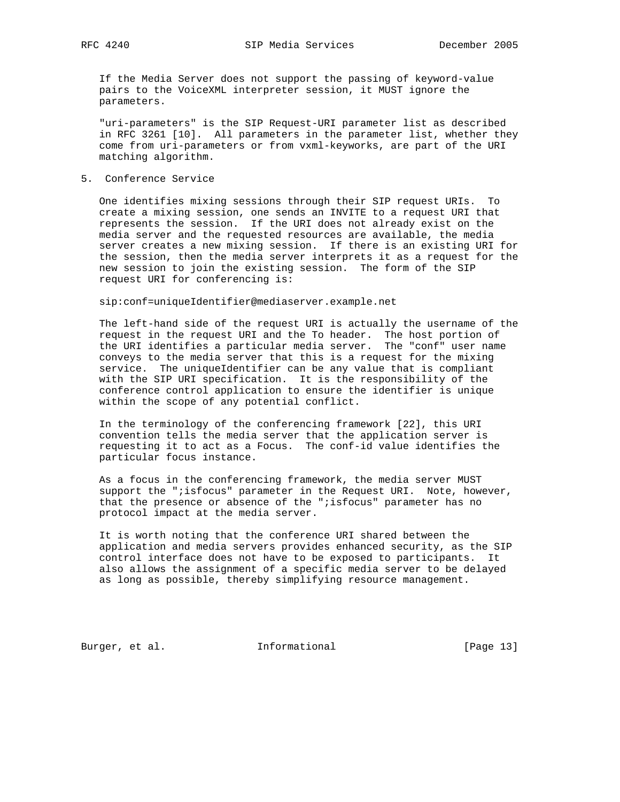If the Media Server does not support the passing of keyword-value pairs to the VoiceXML interpreter session, it MUST ignore the parameters.

 "uri-parameters" is the SIP Request-URI parameter list as described in RFC 3261 [10]. All parameters in the parameter list, whether they come from uri-parameters or from vxml-keyworks, are part of the URI matching algorithm.

5. Conference Service

 One identifies mixing sessions through their SIP request URIs. To create a mixing session, one sends an INVITE to a request URI that represents the session. If the URI does not already exist on the media server and the requested resources are available, the media server creates a new mixing session. If there is an existing URI for the session, then the media server interprets it as a request for the new session to join the existing session. The form of the SIP request URI for conferencing is:

sip:conf=uniqueIdentifier@mediaserver.example.net

 The left-hand side of the request URI is actually the username of the request in the request URI and the To header. The host portion of the URI identifies a particular media server. The "conf" user name conveys to the media server that this is a request for the mixing service. The uniqueIdentifier can be any value that is compliant with the SIP URI specification. It is the responsibility of the conference control application to ensure the identifier is unique within the scope of any potential conflict.

 In the terminology of the conferencing framework [22], this URI convention tells the media server that the application server is requesting it to act as a Focus. The conf-id value identifies the particular focus instance.

 As a focus in the conferencing framework, the media server MUST support the "; isfocus" parameter in the Request URI. Note, however, that the presence or absence of the ";isfocus" parameter has no protocol impact at the media server.

 It is worth noting that the conference URI shared between the application and media servers provides enhanced security, as the SIP control interface does not have to be exposed to participants. It also allows the assignment of a specific media server to be delayed as long as possible, thereby simplifying resource management.

Burger, et al. 1nformational [Page 13]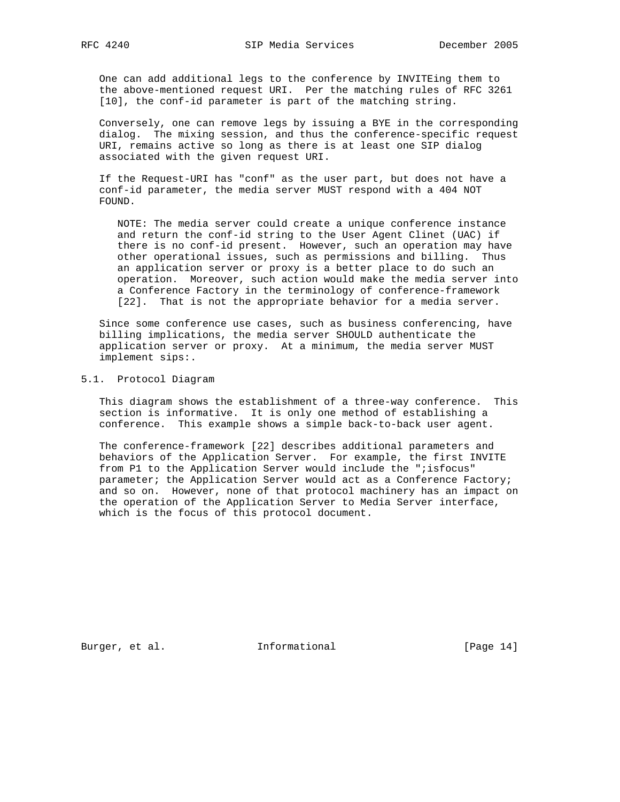One can add additional legs to the conference by INVITEing them to the above-mentioned request URI. Per the matching rules of RFC 3261 [10], the conf-id parameter is part of the matching string.

 Conversely, one can remove legs by issuing a BYE in the corresponding dialog. The mixing session, and thus the conference-specific request URI, remains active so long as there is at least one SIP dialog associated with the given request URI.

 If the Request-URI has "conf" as the user part, but does not have a conf-id parameter, the media server MUST respond with a 404 NOT FOUND.

 NOTE: The media server could create a unique conference instance and return the conf-id string to the User Agent Clinet (UAC) if there is no conf-id present. However, such an operation may have other operational issues, such as permissions and billing. Thus an application server or proxy is a better place to do such an operation. Moreover, such action would make the media server into a Conference Factory in the terminology of conference-framework [22]. That is not the appropriate behavior for a media server.

 Since some conference use cases, such as business conferencing, have billing implications, the media server SHOULD authenticate the application server or proxy. At a minimum, the media server MUST implement sips:.

### 5.1. Protocol Diagram

 This diagram shows the establishment of a three-way conference. This section is informative. It is only one method of establishing a conference. This example shows a simple back-to-back user agent.

 The conference-framework [22] describes additional parameters and behaviors of the Application Server. For example, the first INVITE from P1 to the Application Server would include the ";isfocus" parameter; the Application Server would act as a Conference Factory; and so on. However, none of that protocol machinery has an impact on the operation of the Application Server to Media Server interface, which is the focus of this protocol document.

Burger, et al. 1nformational [Page 14]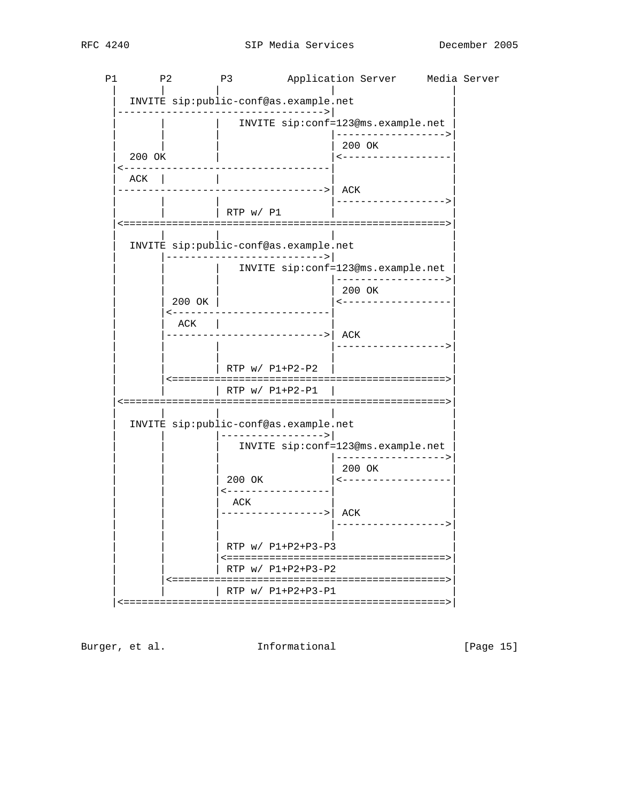| Ρ1 | P <sub>2</sub>              |                                    | P3                                                                 |                       | Application Server Media Server                          |  |
|----|-----------------------------|------------------------------------|--------------------------------------------------------------------|-----------------------|----------------------------------------------------------|--|
|    |                             |                                    | INVITE sip: public-conf@as.example.net<br>-----------------------> |                       |                                                          |  |
|    |                             |                                    |                                                                    |                       | INVITE sip:conf=123@ms.example.net<br>-----------------> |  |
|    | 200 OK                      |                                    |                                                                    |                       | 200 OK<br><------------------                            |  |
|    | ACK                         |                                    |                                                                    |                       |                                                          |  |
|    |                             |                                    |                                                                    | -----------> ACK      |                                                          |  |
|    |                             |                                    | $ $ RTP w/ P1                                                      |                       |                                                          |  |
|    |                             |                                    | INVITE sip:public-conf@as.example.net                              |                       |                                                          |  |
|    |                             |                                    | ------------------------>                                          |                       | INVITE sip:conf=123@ms.example.net                       |  |
|    |                             |                                    |                                                                    |                       | -----------------><br>200 OK                             |  |
|    |                             | 200 OK  <br>$\leftarrow - - - - -$ | -------------------                                                |                       | <------------------                                      |  |
|    |                             | ACK                                |                                                                    | --------------->  ACK |                                                          |  |
|    |                             |                                    |                                                                    |                       | ------------------>                                      |  |
|    |                             |                                    | $RTP W / P1 + P2 - P2$                                             |                       |                                                          |  |
|    |                             |                                    | RTP w/ P1+P2-P1                                                    |                       |                                                          |  |
|    |                             |                                    | INVITE sip:public-conf@as.example.net                              |                       |                                                          |  |
|    |                             |                                    |                                                                    | -------------->       | INVITE sip:conf=123@ms.example.net                       |  |
|    |                             |                                    |                                                                    |                       | . _ _ _ _ _ _ _ _ _ _ _ _ _ _ _ ><br>200 OK              |  |
|    |                             |                                    | 200 OK<br><-----------------                                       |                       |                                                          |  |
|    |                             |                                    | ACK<br>----------------->  ACK                                     |                       |                                                          |  |
|    |                             |                                    |                                                                    |                       |                                                          |  |
|    | $RTP W / P1 + P2 + P3 - P3$ |                                    |                                                                    |                       |                                                          |  |
|    |                             |                                    | $RTP W / P1 + P2 + P3 - P2$                                        |                       |                                                          |  |
|    |                             |                                    | RTP w/ P1+P2+P3-P1                                                 |                       |                                                          |  |

Burger, et al. 1nformational

[Page 15]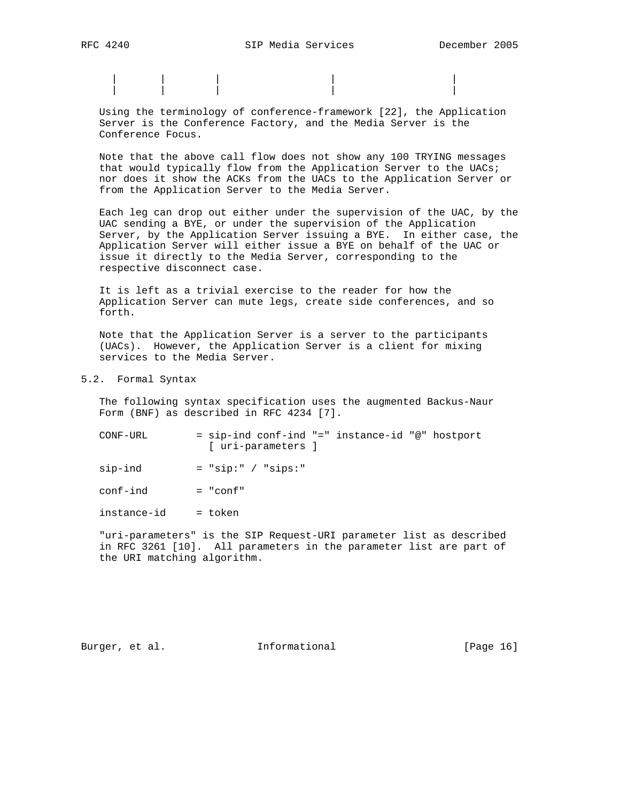| | | | | | | | | |

 Using the terminology of conference-framework [22], the Application Server is the Conference Factory, and the Media Server is the Conference Focus.

 Note that the above call flow does not show any 100 TRYING messages that would typically flow from the Application Server to the UACs; nor does it show the ACKs from the UACs to the Application Server or from the Application Server to the Media Server.

 Each leg can drop out either under the supervision of the UAC, by the UAC sending a BYE, or under the supervision of the Application Server, by the Application Server issuing a BYE. In either case, the Application Server will either issue a BYE on behalf of the UAC or issue it directly to the Media Server, corresponding to the respective disconnect case.

 It is left as a trivial exercise to the reader for how the Application Server can mute legs, create side conferences, and so forth.

 Note that the Application Server is a server to the participants (UACs). However, the Application Server is a client for mixing services to the Media Server.

## 5.2. Formal Syntax

 The following syntax specification uses the augmented Backus-Naur Form (BNF) as described in RFC 4234 [7].

| CONF-URL |  |                    | = sip-ind conf-ind "=" instance-id "@" hostport |  |
|----------|--|--------------------|-------------------------------------------------|--|
|          |  | [ uri-parameters ] |                                                 |  |

 $sip-ind$  = " $sip:$ " / " $sip:$ "

 $conf-ind$  = "conf"

instance-id = token

 "uri-parameters" is the SIP Request-URI parameter list as described in RFC 3261 [10]. All parameters in the parameter list are part of the URI matching algorithm.

Burger, et al. 1nformational [Page 16]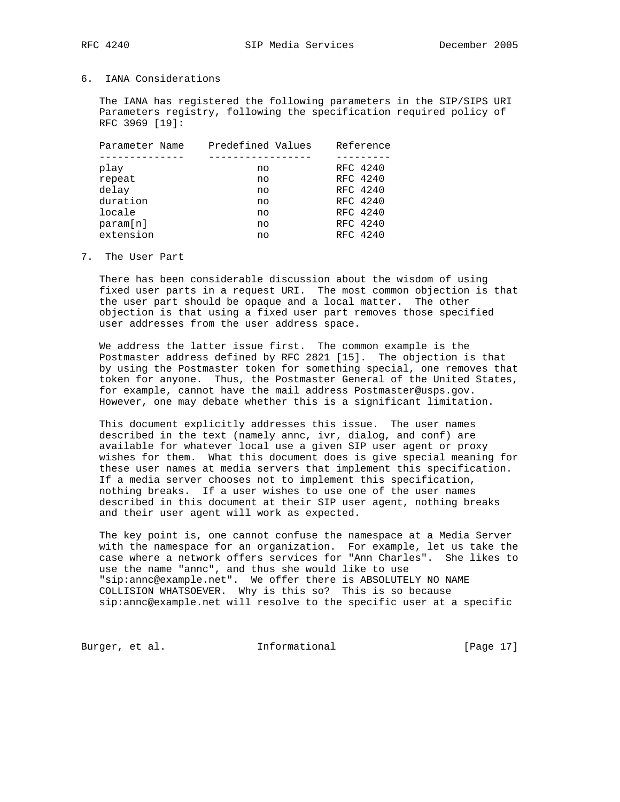# 6. IANA Considerations

 The IANA has registered the following parameters in the SIP/SIPS URI Parameters registry, following the specification required policy of RFC 3969 [19]:

| Parameter Name | Predefined Values | Reference |
|----------------|-------------------|-----------|
|                |                   |           |
| play           | no                | RFC 4240  |
| repeat         | no                | RFC 4240  |
| delay          | no                | RFC 4240  |
| duration       | no                | RFC 4240  |
| locale         | no                | RFC 4240  |
| param[n]       | no                | RFC 4240  |
| extension      | no                | RFC 4240  |
|                |                   |           |

### 7. The User Part

 There has been considerable discussion about the wisdom of using fixed user parts in a request URI. The most common objection is that the user part should be opaque and a local matter. The other objection is that using a fixed user part removes those specified user addresses from the user address space.

 We address the latter issue first. The common example is the Postmaster address defined by RFC 2821 [15]. The objection is that by using the Postmaster token for something special, one removes that token for anyone. Thus, the Postmaster General of the United States, for example, cannot have the mail address Postmaster@usps.gov. However, one may debate whether this is a significant limitation.

 This document explicitly addresses this issue. The user names described in the text (namely annc, ivr, dialog, and conf) are available for whatever local use a given SIP user agent or proxy wishes for them. What this document does is give special meaning for these user names at media servers that implement this specification. If a media server chooses not to implement this specification, nothing breaks. If a user wishes to use one of the user names described in this document at their SIP user agent, nothing breaks and their user agent will work as expected.

 The key point is, one cannot confuse the namespace at a Media Server with the namespace for an organization. For example, let us take the case where a network offers services for "Ann Charles". She likes to use the name "annc", and thus she would like to use "sip:annc@example.net". We offer there is ABSOLUTELY NO NAME COLLISION WHATSOEVER. Why is this so? This is so because sip:annc@example.net will resolve to the specific user at a specific

Burger, et al. 1nformational 1999 [Page 17]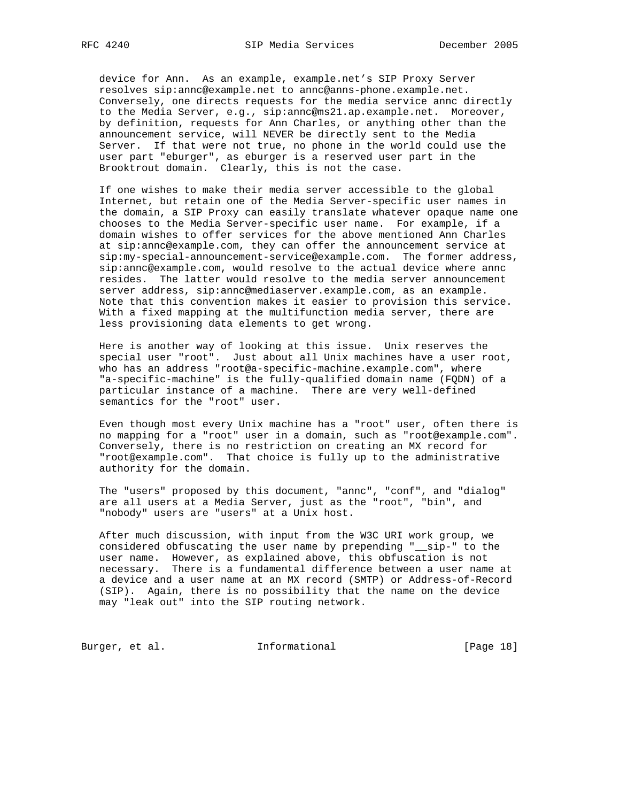device for Ann. As an example, example.net's SIP Proxy Server resolves sip:annc@example.net to annc@anns-phone.example.net. Conversely, one directs requests for the media service annc directly to the Media Server, e.g., sip:annc@ms21.ap.example.net. Moreover, by definition, requests for Ann Charles, or anything other than the announcement service, will NEVER be directly sent to the Media Server. If that were not true, no phone in the world could use the user part "eburger", as eburger is a reserved user part in the Brooktrout domain. Clearly, this is not the case.

 If one wishes to make their media server accessible to the global Internet, but retain one of the Media Server-specific user names in the domain, a SIP Proxy can easily translate whatever opaque name one chooses to the Media Server-specific user name. For example, if a domain wishes to offer services for the above mentioned Ann Charles at sip:annc@example.com, they can offer the announcement service at sip:my-special-announcement-service@example.com. The former address, sip:annc@example.com, would resolve to the actual device where annc resides. The latter would resolve to the media server announcement server address, sip:annc@mediaserver.example.com, as an example. Note that this convention makes it easier to provision this service. With a fixed mapping at the multifunction media server, there are less provisioning data elements to get wrong.

 Here is another way of looking at this issue. Unix reserves the special user "root". Just about all Unix machines have a user root, who has an address "root@a-specific-machine.example.com", where "a-specific-machine" is the fully-qualified domain name (FQDN) of a particular instance of a machine. There are very well-defined semantics for the "root" user.

 Even though most every Unix machine has a "root" user, often there is no mapping for a "root" user in a domain, such as "root@example.com". Conversely, there is no restriction on creating an MX record for "root@example.com". That choice is fully up to the administrative authority for the domain.

 The "users" proposed by this document, "annc", "conf", and "dialog" are all users at a Media Server, just as the "root", "bin", and "nobody" users are "users" at a Unix host.

 After much discussion, with input from the W3C URI work group, we considered obfuscating the user name by prepending "\_\_sip-" to the user name. However, as explained above, this obfuscation is not necessary. There is a fundamental difference between a user name at a device and a user name at an MX record (SMTP) or Address-of-Record (SIP). Again, there is no possibility that the name on the device may "leak out" into the SIP routing network.

Burger, et al. 1nformational [Page 18]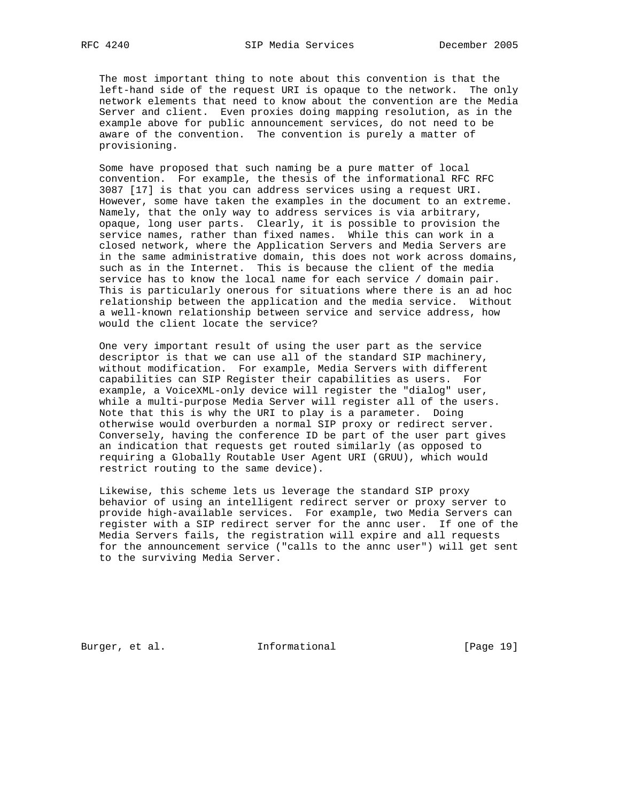The most important thing to note about this convention is that the left-hand side of the request URI is opaque to the network. The only network elements that need to know about the convention are the Media Server and client. Even proxies doing mapping resolution, as in the example above for public announcement services, do not need to be aware of the convention. The convention is purely a matter of provisioning.

 Some have proposed that such naming be a pure matter of local convention. For example, the thesis of the informational RFC RFC 3087 [17] is that you can address services using a request URI. However, some have taken the examples in the document to an extreme. Namely, that the only way to address services is via arbitrary, opaque, long user parts. Clearly, it is possible to provision the service names, rather than fixed names. While this can work in a closed network, where the Application Servers and Media Servers are in the same administrative domain, this does not work across domains, such as in the Internet. This is because the client of the media service has to know the local name for each service / domain pair. This is particularly onerous for situations where there is an ad hoc relationship between the application and the media service. Without a well-known relationship between service and service address, how would the client locate the service?

 One very important result of using the user part as the service descriptor is that we can use all of the standard SIP machinery, without modification. For example, Media Servers with different capabilities can SIP Register their capabilities as users. For example, a VoiceXML-only device will register the "dialog" user, while a multi-purpose Media Server will register all of the users. Note that this is why the URI to play is a parameter. Doing otherwise would overburden a normal SIP proxy or redirect server. Conversely, having the conference ID be part of the user part gives an indication that requests get routed similarly (as opposed to requiring a Globally Routable User Agent URI (GRUU), which would restrict routing to the same device).

 Likewise, this scheme lets us leverage the standard SIP proxy behavior of using an intelligent redirect server or proxy server to provide high-available services. For example, two Media Servers can register with a SIP redirect server for the annc user. If one of the Media Servers fails, the registration will expire and all requests for the announcement service ("calls to the annc user") will get sent to the surviving Media Server.

Burger, et al. **Informational** [Page 19]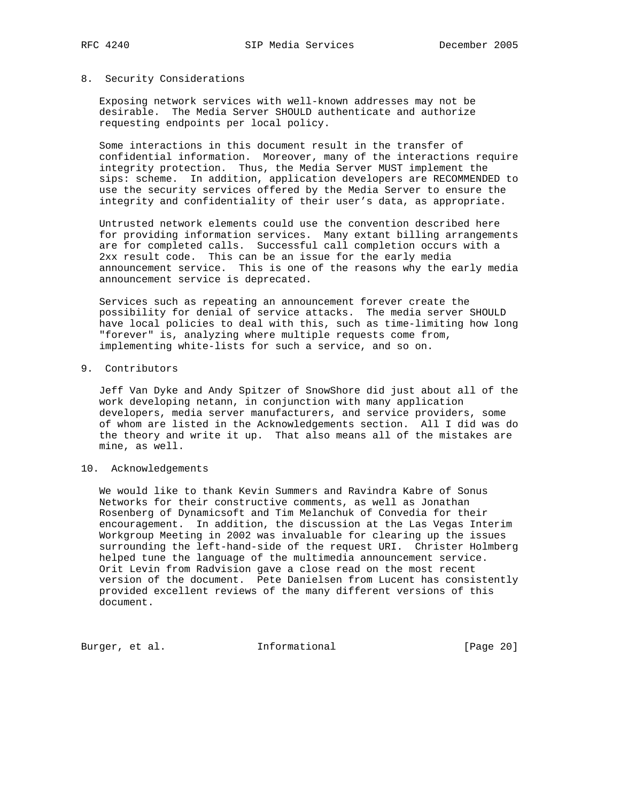### 8. Security Considerations

 Exposing network services with well-known addresses may not be desirable. The Media Server SHOULD authenticate and authorize requesting endpoints per local policy.

 Some interactions in this document result in the transfer of confidential information. Moreover, many of the interactions require integrity protection. Thus, the Media Server MUST implement the sips: scheme. In addition, application developers are RECOMMENDED to use the security services offered by the Media Server to ensure the integrity and confidentiality of their user's data, as appropriate.

 Untrusted network elements could use the convention described here for providing information services. Many extant billing arrangements are for completed calls. Successful call completion occurs with a 2xx result code. This can be an issue for the early media announcement service. This is one of the reasons why the early media announcement service is deprecated.

 Services such as repeating an announcement forever create the possibility for denial of service attacks. The media server SHOULD have local policies to deal with this, such as time-limiting how long "forever" is, analyzing where multiple requests come from, implementing white-lists for such a service, and so on.

## 9. Contributors

 Jeff Van Dyke and Andy Spitzer of SnowShore did just about all of the work developing netann, in conjunction with many application developers, media server manufacturers, and service providers, some of whom are listed in the Acknowledgements section. All I did was do the theory and write it up. That also means all of the mistakes are mine, as well.

## 10. Acknowledgements

 We would like to thank Kevin Summers and Ravindra Kabre of Sonus Networks for their constructive comments, as well as Jonathan Rosenberg of Dynamicsoft and Tim Melanchuk of Convedia for their encouragement. In addition, the discussion at the Las Vegas Interim Workgroup Meeting in 2002 was invaluable for clearing up the issues surrounding the left-hand-side of the request URI. Christer Holmberg helped tune the language of the multimedia announcement service. Orit Levin from Radvision gave a close read on the most recent version of the document. Pete Danielsen from Lucent has consistently provided excellent reviews of the many different versions of this document.

Burger, et al. 1nformational [Page 20]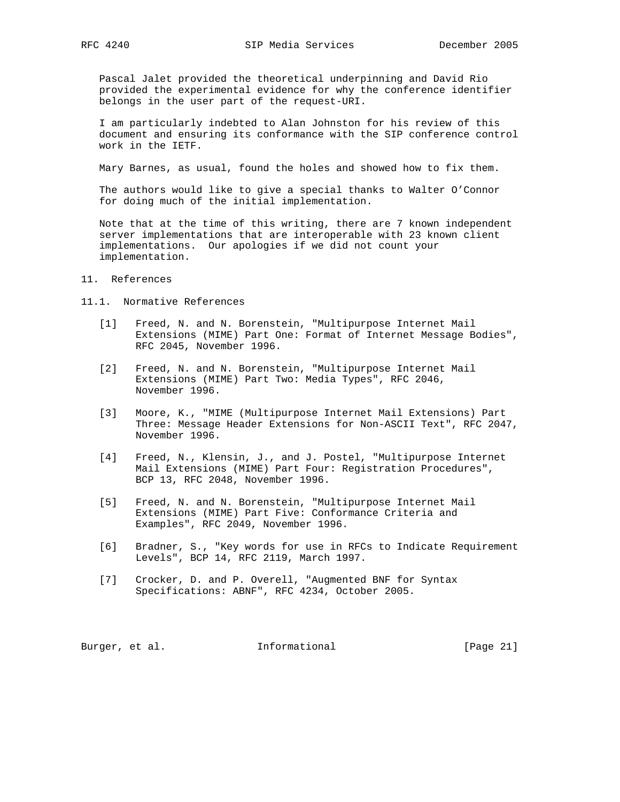Pascal Jalet provided the theoretical underpinning and David Rio provided the experimental evidence for why the conference identifier belongs in the user part of the request-URI.

 I am particularly indebted to Alan Johnston for his review of this document and ensuring its conformance with the SIP conference control work in the IETF.

Mary Barnes, as usual, found the holes and showed how to fix them.

 The authors would like to give a special thanks to Walter O'Connor for doing much of the initial implementation.

 Note that at the time of this writing, there are 7 known independent server implementations that are interoperable with 23 known client implementations. Our apologies if we did not count your implementation.

### 11. References

### 11.1. Normative References

- [1] Freed, N. and N. Borenstein, "Multipurpose Internet Mail Extensions (MIME) Part One: Format of Internet Message Bodies", RFC 2045, November 1996.
- [2] Freed, N. and N. Borenstein, "Multipurpose Internet Mail Extensions (MIME) Part Two: Media Types", RFC 2046, November 1996.
- [3] Moore, K., "MIME (Multipurpose Internet Mail Extensions) Part Three: Message Header Extensions for Non-ASCII Text", RFC 2047, November 1996.
- [4] Freed, N., Klensin, J., and J. Postel, "Multipurpose Internet Mail Extensions (MIME) Part Four: Registration Procedures", BCP 13, RFC 2048, November 1996.
- [5] Freed, N. and N. Borenstein, "Multipurpose Internet Mail Extensions (MIME) Part Five: Conformance Criteria and Examples", RFC 2049, November 1996.
- [6] Bradner, S., "Key words for use in RFCs to Indicate Requirement Levels", BCP 14, RFC 2119, March 1997.
- [7] Crocker, D. and P. Overell, "Augmented BNF for Syntax Specifications: ABNF", RFC 4234, October 2005.

Burger, et al. 1nformational [Page 21]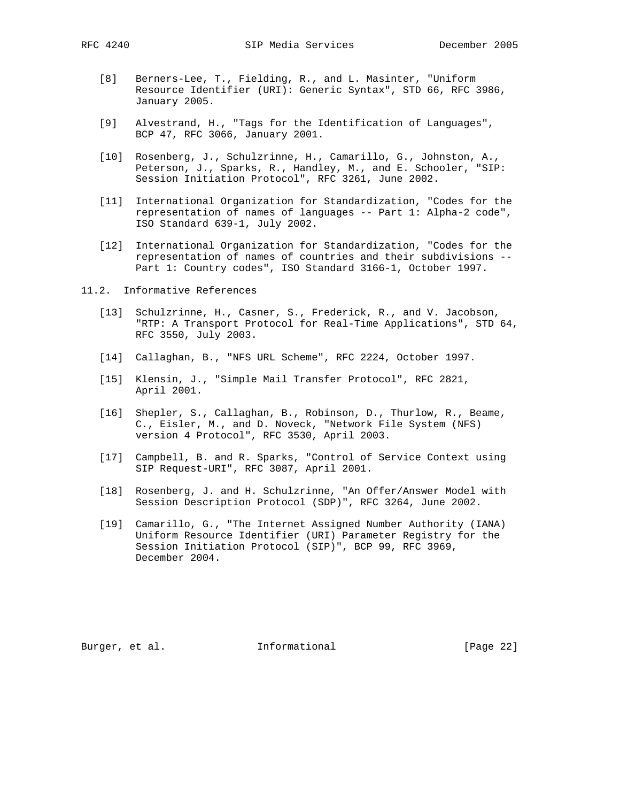- [8] Berners-Lee, T., Fielding, R., and L. Masinter, "Uniform Resource Identifier (URI): Generic Syntax", STD 66, RFC 3986, January 2005.
- [9] Alvestrand, H., "Tags for the Identification of Languages", BCP 47, RFC 3066, January 2001.
- [10] Rosenberg, J., Schulzrinne, H., Camarillo, G., Johnston, A., Peterson, J., Sparks, R., Handley, M., and E. Schooler, "SIP: Session Initiation Protocol", RFC 3261, June 2002.
- [11] International Organization for Standardization, "Codes for the representation of names of languages -- Part 1: Alpha-2 code", ISO Standard 639-1, July 2002.
- [12] International Organization for Standardization, "Codes for the representation of names of countries and their subdivisions -- Part 1: Country codes", ISO Standard 3166-1, October 1997.
- 11.2. Informative References
	- [13] Schulzrinne, H., Casner, S., Frederick, R., and V. Jacobson, "RTP: A Transport Protocol for Real-Time Applications", STD 64, RFC 3550, July 2003.
	- [14] Callaghan, B., "NFS URL Scheme", RFC 2224, October 1997.
	- [15] Klensin, J., "Simple Mail Transfer Protocol", RFC 2821, April 2001.
	- [16] Shepler, S., Callaghan, B., Robinson, D., Thurlow, R., Beame, C., Eisler, M., and D. Noveck, "Network File System (NFS) version 4 Protocol", RFC 3530, April 2003.
	- [17] Campbell, B. and R. Sparks, "Control of Service Context using SIP Request-URI", RFC 3087, April 2001.
	- [18] Rosenberg, J. and H. Schulzrinne, "An Offer/Answer Model with Session Description Protocol (SDP)", RFC 3264, June 2002.
	- [19] Camarillo, G., "The Internet Assigned Number Authority (IANA) Uniform Resource Identifier (URI) Parameter Registry for the Session Initiation Protocol (SIP)", BCP 99, RFC 3969, December 2004.

Burger, et al. **Informational** [Page 22]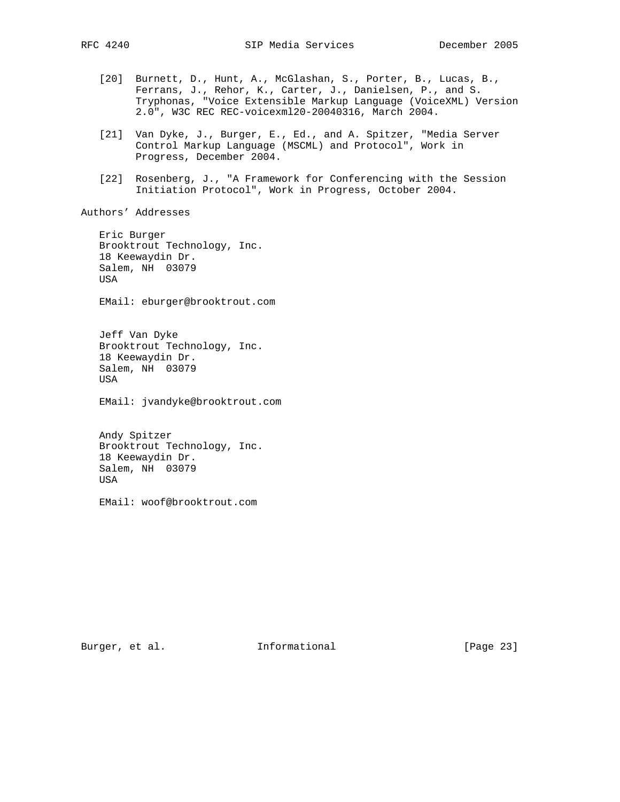[20] Burnett, D., Hunt, A., McGlashan, S., Porter, B., Lucas, B., Ferrans, J., Rehor, K., Carter, J., Danielsen, P., and S. Tryphonas, "Voice Extensible Markup Language (VoiceXML) Version 2.0", W3C REC REC-voicexml20-20040316, March 2004. [21] Van Dyke, J., Burger, E., Ed., and A. Spitzer, "Media Server Control Markup Language (MSCML) and Protocol", Work in Progress, December 2004. [22] Rosenberg, J., "A Framework for Conferencing with the Session Initiation Protocol", Work in Progress, October 2004.

Authors' Addresses

 Eric Burger Brooktrout Technology, Inc. 18 Keewaydin Dr. Salem, NH 03079 USA

EMail: eburger@brooktrout.com

 Jeff Van Dyke Brooktrout Technology, Inc. 18 Keewaydin Dr. Salem, NH 03079 USA

EMail: jvandyke@brooktrout.com

 Andy Spitzer Brooktrout Technology, Inc. 18 Keewaydin Dr. Salem, NH 03079 USA

EMail: woof@brooktrout.com

Burger, et al. 1nformational [Page 23]